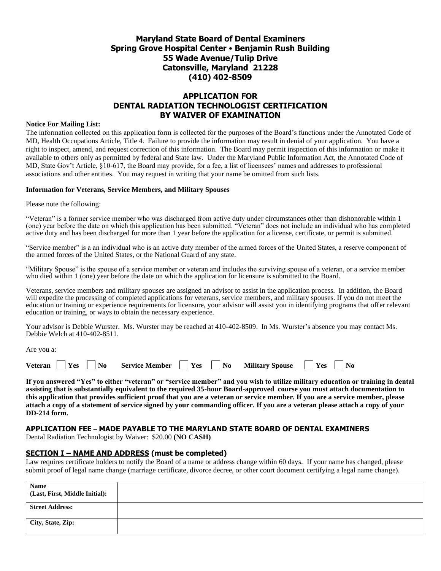# **Maryland State Board of Dental Examiners Spring Grove Hospital Center Benjamin Rush Building 55 Wade Avenue/Tulip Drive Catonsville, Maryland 21228 (410) 402-8509**

# **APPLICATION FOR DENTAL RADIATION TECHNOLOGIST CERTIFICATION BY WAIVER OF EXAMINATION**

#### **Notice For Mailing List:**

The information collected on this application form is collected for the purposes of the Board's functions under the Annotated Code of MD, Health Occupations Article, Title 4. Failure to provide the information may result in denial of your application. You have a right to inspect, amend, and request correction of this information. The Board may permit inspection of this information or make it available to others only as permitted by federal and State law. Under the Maryland Public Information Act, the Annotated Code of MD, State Gov't Article, §10-617, the Board may provide, for a fee, a list of licensees' names and addresses to professional associations and other entities. You may request in writing that your name be omitted from such lists.

#### **Information for Veterans, Service Members, and Military Spouses**

Please note the following:

"Veteran" is a former service member who was discharged from active duty under circumstances other than dishonorable within 1 (one) year before the date on which this application has been submitted. "Veteran" does not include an individual who has completed active duty and has been discharged for more than 1 year before the application for a license, certificate, or permit is submitted.

"Service member" is a an individual who is an active duty member of the armed forces of the United States, a reserve component of the armed forces of the United States, or the National Guard of any state.

"Military Spouse" is the spouse of a service member or veteran and includes the surviving spouse of a veteran, or a service member who died within 1 (one) year before the date on which the application for licensure is submitted to the Board.

Veterans, service members and military spouses are assigned an advisor to assist in the application process. In addition, the Board will expedite the processing of completed applications for veterans, service members, and military spouses. If you do not meet the education or training or experience requirements for licensure, your advisor will assist you in identifying programs that offer relevant education or training, or ways to obtain the necessary experience.

Your advisor is Debbie Wurster. Ms. Wurster may be reached at 410-402-8509. In Ms. Wurster's absence you may contact Ms. Debbie Welch at 410-402-8511.

Are you a:

| <b>Veteran</b><br>Yes<br>$'$ No<br><b>Service Member</b> | 'Yes | N <sub>0</sub> | <b>Military Spouse</b> | 'Yes | ' No |
|----------------------------------------------------------|------|----------------|------------------------|------|------|
|----------------------------------------------------------|------|----------------|------------------------|------|------|

**If you answered "Yes" to either "veteran" or "service member" and you wish to utilize military education or training in dental assisting that is substantially equivalent to the required 35-hour Board-approved course you must attach documentation to this application that provides sufficient proof that you are a veteran or service member. If you are a service member, please attach a copy of a statement of service signed by your commanding officer. If you are a veteran please attach a copy of your DD-214 form.** 

## **APPLICATION FEE – MADE PAYABLE TO THE MARYLAND STATE BOARD OF DENTAL EXAMINERS**

Dental Radiation Technologist by Waiver: \$20.00 **(NO CASH)**

#### **SECTION I – NAME AND ADDRESS (must be completed)**

Law requires certificate holders to notify the Board of a name or address change within 60 days. If your name has changed, please submit proof of legal name change (marriage certificate, divorce decree, or other court document certifying a legal name change).

| <b>Name</b><br>(Last, First, Middle Initial): |  |
|-----------------------------------------------|--|
| <b>Street Address:</b>                        |  |
| City, State, Zip:                             |  |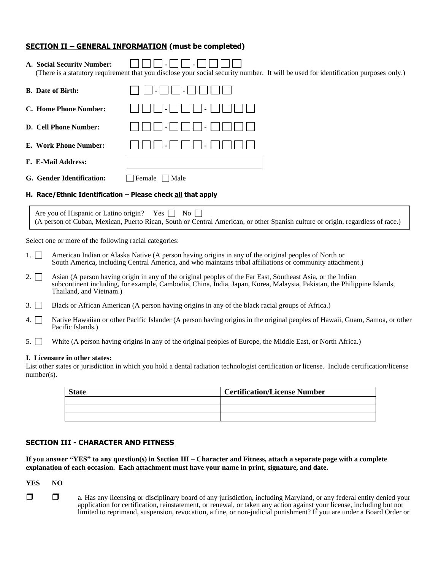#### **SECTION II – GENERAL INFORMATION (must be completed)**

| A. Social Security Number:                                  | (There is a statutory requirement that you disclose your social security number. It will be used for identification purposes only.) |  |  |
|-------------------------------------------------------------|-------------------------------------------------------------------------------------------------------------------------------------|--|--|
| <b>B.</b> Date of Birth:                                    |                                                                                                                                     |  |  |
| C. Home Phone Number:                                       |                                                                                                                                     |  |  |
| D. Cell Phone Number:                                       |                                                                                                                                     |  |  |
| E. Work Phone Number:                                       |                                                                                                                                     |  |  |
| <b>F. E-Mail Address:</b>                                   |                                                                                                                                     |  |  |
| G. Gender Identification:                                   | Female<br>Male                                                                                                                      |  |  |
| H. Race/Ethnic Identification - Please check all that apply |                                                                                                                                     |  |  |

Are you of Hispanic or Latino origin? Yes  $\Box$  No  $\Box$ (A person of Cuban, Mexican, Puerto Rican, South or Central American, or other Spanish culture or origin, regardless of race.)

Select one or more of the following racial categories:

| 1. American Indian or Alaska Native (A person having origins in any of the original peoples of North or   |
|-----------------------------------------------------------------------------------------------------------|
| South America, including Central America, and who maintains tribal affiliations or community attachment.) |

- 2.  $\Box$  Asian (A person having origin in any of the original peoples of the Far East, Southeast Asia, or the Indian subcontinent including, for example, Cambodia, China, India, Japan, Korea, Malaysia, Pakistan, the Philippine Islands, Thailand, and Vietnam.)
- 3. Black or African American (A person having origins in any of the black racial groups of Africa.)
- 4. Native Hawaiian or other Pacific Islander (A person having origins in the original peoples of Hawaii, Guam, Samoa, or other Pacific Islands.)
- 5. White (A person having origins in any of the original peoples of Europe, the Middle East, or North Africa.)

#### **I. Licensure in other states:**

List other states or jurisdiction in which you hold a dental radiation technologist certification or license. Include certification/license number(s).

| <b>State</b> | <b>Certification/License Number</b> |
|--------------|-------------------------------------|
|              |                                     |
|              |                                     |
|              |                                     |

#### **SECTION III - CHARACTER AND FITNESS**

**If you answer "YES" to any question(s) in Section III – Character and Fitness, attach a separate page with a complete explanation of each occasion. Each attachment must have your name in print, signature, and date.** 

**YES NO**

□ a. Has any licensing or disciplinary board of any jurisdiction, including Maryland, or any federal entity denied your application for certification, reinstatement, or renewal, or taken any action against your license, including but not limited to reprimand, suspension, revocation, a fine, or non-judicial punishment? If you are under a Board Order or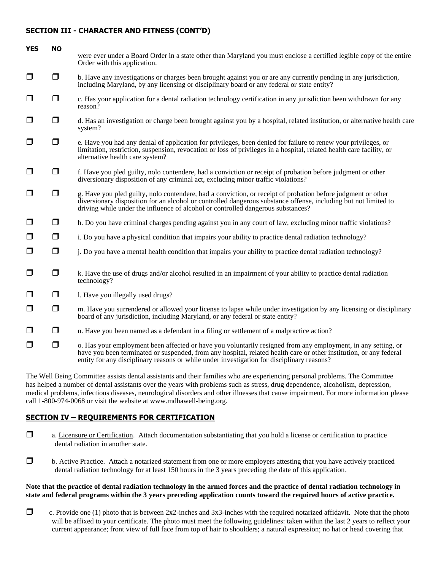### **SECTION III - CHARACTER AND FITNESS (CONT'D)**

| <b>YES</b> | <b>NO</b> |                                                                                                                                                                                                                                                                                                                                   |
|------------|-----------|-----------------------------------------------------------------------------------------------------------------------------------------------------------------------------------------------------------------------------------------------------------------------------------------------------------------------------------|
|            |           | were ever under a Board Order in a state other than Maryland you must enclose a certified legible copy of the entire<br>Order with this application.                                                                                                                                                                              |
| $\Box$     | $\Box$    | b. Have any investigations or charges been brought against you or are any currently pending in any jurisdiction,<br>including Maryland, by any licensing or disciplinary board or any federal or state entity?                                                                                                                    |
| $\Box$     | $\Box$    | c. Has your application for a dental radiation technology certification in any jurisdiction been withdrawn for any<br>reason?                                                                                                                                                                                                     |
| $\Box$     | $\Box$    | d. Has an investigation or charge been brought against you by a hospital, related institution, or alternative health care<br>system?                                                                                                                                                                                              |
| $\Box$     | $\Box$    | e. Have you had any denial of application for privileges, been denied for failure to renew your privileges, or<br>limitation, restriction, suspension, revocation or loss of privileges in a hospital, related health care facility, or<br>alternative health care system?                                                        |
| $\Box$     | $\Box$    | f. Have you pled guilty, nolo contendere, had a conviction or receipt of probation before judgment or other<br>diversionary disposition of any criminal act, excluding minor traffic violations?                                                                                                                                  |
| $\Box$     | $\Box$    | g. Have you pled guilty, nolo contendere, had a conviction, or receipt of probation before judgment or other<br>diversionary disposition for an alcohol or controlled dangerous substance offense, including but not limited to<br>driving while under the influence of alcohol or controlled dangerous substances?               |
| $\Box$     | $\Box$    | h. Do you have criminal charges pending against you in any court of law, excluding minor traffic violations?                                                                                                                                                                                                                      |
| $\Box$     | $\Box$    | i. Do you have a physical condition that impairs your ability to practice dental radiation technology?                                                                                                                                                                                                                            |
| $\Box$     | $\Box$    | j. Do you have a mental health condition that impairs your ability to practice dental radiation technology?                                                                                                                                                                                                                       |
| $\Box$     | $\Box$    | k. Have the use of drugs and/or alcohol resulted in an impairment of your ability to practice dental radiation<br>technology?                                                                                                                                                                                                     |
| $\Box$     | $\Box$    | 1. Have you illegally used drugs?                                                                                                                                                                                                                                                                                                 |
| $\Box$     | $\Box$    | m. Have you surrendered or allowed your license to lapse while under investigation by any licensing or disciplinary<br>board of any jurisdiction, including Maryland, or any federal or state entity?                                                                                                                             |
| $\Box$     | $\Box$    | n. Have you been named as a defendant in a filing or settlement of a malpractice action?                                                                                                                                                                                                                                          |
| $\Box$     | $\Box$    | o. Has your employment been affected or have you voluntarily resigned from any employment, in any setting, or<br>have you been terminated or suspended, from any hospital, related health care or other institution, or any federal<br>entity for any disciplinary reasons or while under investigation for disciplinary reasons? |

The Well Being Committee assists dental assistants and their families who are experiencing personal problems. The Committee has helped a number of dental assistants over the years with problems such as stress, drug dependence, alcoholism, depression, medical problems, infectious diseases, neurological disorders and other illnesses that cause impairment. For more information please call 1-800-974-0068 or visit the website at www.mdhawell-being.org.

### **SECTION IV – REQUIREMENTS FOR CERTIFICATION**

- a. Licensure or Certification. Attach documentation substantiating that you hold a license or certification to practice dental radiation in another state.
- b. Active Practice. Attach a notarized statement from one or more employers attesting that you have actively practiced dental radiation technology for at least 150 hours in the 3 years preceding the date of this application.

#### **Note that the practice of dental radiation technology in the armed forces and the practice of dental radiation technology in state and federal programs within the 3 years preceding application counts toward the required hours of active practice.**

 $\Box$  c. Provide one (1) photo that is between 2x2-inches and 3x3-inches with the required notarized affidavit. Note that the photo will be affixed to your certificate. The photo must meet the following guidelines: taken within the last 2 years to reflect your current appearance; front view of full face from top of hair to shoulders; a natural expression; no hat or head covering that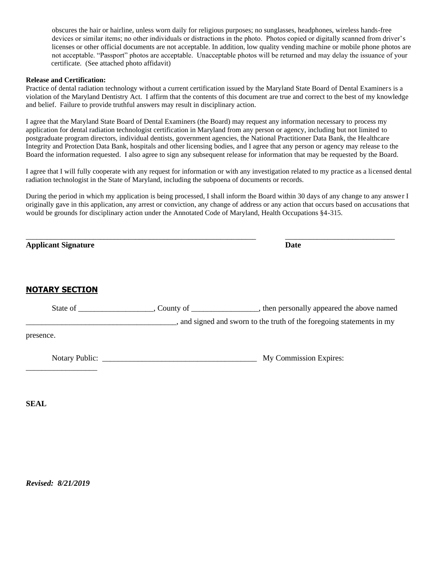obscures the hair or hairline, unless worn daily for religious purposes; no sunglasses, headphones, wireless hands-free devices or similar items; no other individuals or distractions in the photo. Photos copied or digitally scanned from driver's licenses or other official documents are not acceptable. In addition, low quality vending machine or mobile phone photos are not acceptable. "Passport" photos are acceptable. Unacceptable photos will be returned and may delay the issuance of your certificate. (See attached photo affidavit)

#### **Release and Certification:**

Practice of dental radiation technology without a current certification issued by the Maryland State Board of Dental Examiners is a violation of the Maryland Dentistry Act. I affirm that the contents of this document are true and correct to the best of my knowledge and belief. Failure to provide truthful answers may result in disciplinary action.

I agree that the Maryland State Board of Dental Examiners (the Board) may request any information necessary to process my application for dental radiation technologist certification in Maryland from any person or agency, including but not limited to postgraduate program directors, individual dentists, government agencies, the National Practitioner Data Bank, the Healthcare Integrity and Protection Data Bank, hospitals and other licensing bodies, and I agree that any person or agency may release to the Board the information requested. I also agree to sign any subsequent release for information that may be requested by the Board.

I agree that I will fully cooperate with any request for information or with any investigation related to my practice as a licensed dental radiation technologist in the State of Maryland, including the subpoena of documents or records.

During the period in which my application is being processed, I shall inform the Board within 30 days of any change to any answer I originally gave in this application, any arrest or conviction, any change of address or any action that occurs based on accusations that would be grounds for disciplinary action under the Annotated Code of Maryland, Health Occupations §4-315.

| <b>Applicant Signature</b> | Date                                                                |  |
|----------------------------|---------------------------------------------------------------------|--|
| <b>NOTARY SECTION</b>      |                                                                     |  |
|                            |                                                                     |  |
|                            | and signed and sworn to the truth of the foregoing statements in my |  |
| presence.                  |                                                                     |  |
|                            | My Commission Expires:                                              |  |

**SEAL**

*Revised: 8/21/2019*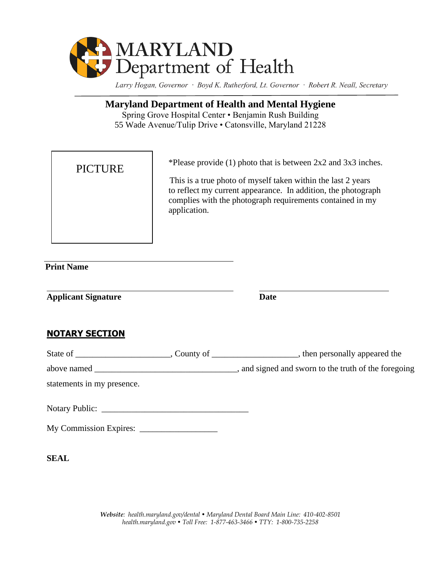

Larry Hogan, Governor · Boyd K. Rutherford, Lt. Governor · Robert R. Neall, Secretary

# **Maryland Department of Health and Mental Hygiene**

Spring Grove Hospital Center • Benjamin Rush Building 55 Wade Avenue/Tulip Drive • Catonsville, Maryland 21228

| <b>PICTURE</b> | *Please provide $(1)$ photo that is between $2x2$ and $3x3$ inches.<br>This is a true photo of myself taken within the last 2 years<br>to reflect my current appearance. In addition, the photograph<br>complies with the photograph requirements contained in my<br>application. |
|----------------|-----------------------------------------------------------------------------------------------------------------------------------------------------------------------------------------------------------------------------------------------------------------------------------|
|                |                                                                                                                                                                                                                                                                                   |

 **Print Name**

**Applicant Signature Date**

# **NOTARY SECTION**

| statements in my presence. |  |
|----------------------------|--|
|                            |  |
|                            |  |

**SEAL**